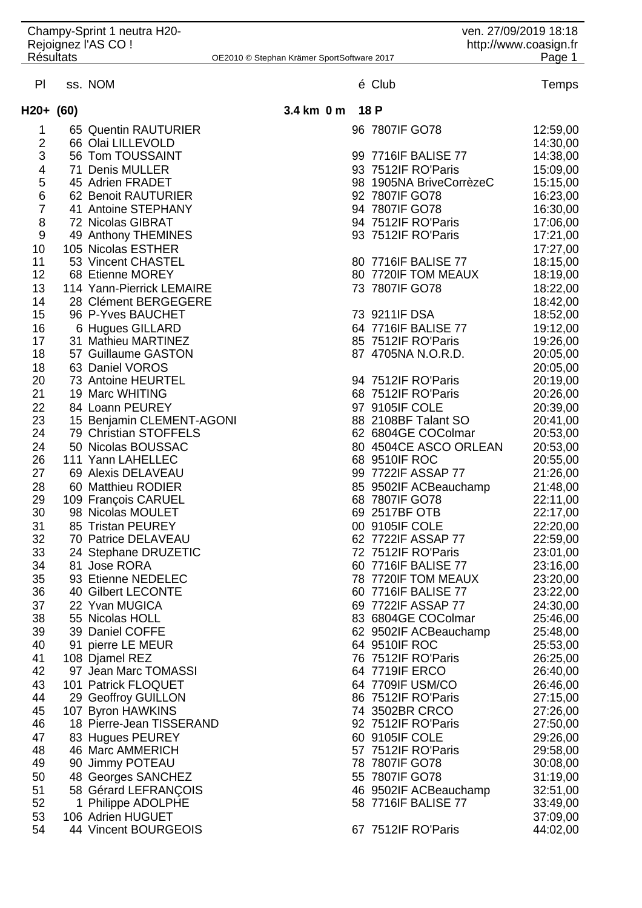| Champy-Sprint 1 neutra H20-<br>Rejoignez l'AS CO !<br><b>Résultats</b><br>OE2010 © Stephan Krämer SportSoftware 2017 |  |                                                    |            | ven. 27/09/2019 18:18<br>http://www.coasign.fr<br>Page 1 |      |                                              |                      |  |  |
|----------------------------------------------------------------------------------------------------------------------|--|----------------------------------------------------|------------|----------------------------------------------------------|------|----------------------------------------------|----------------------|--|--|
| PI                                                                                                                   |  | ss. NOM                                            |            |                                                          |      | é Club                                       | Temps                |  |  |
| H20+ (60)                                                                                                            |  |                                                    | 3.4 km 0 m |                                                          | 18 P |                                              |                      |  |  |
| 1                                                                                                                    |  | 65 Quentin RAUTURIER                               |            |                                                          |      | 96 7807IF GO78                               | 12:59,00             |  |  |
| $\overline{2}$<br>3                                                                                                  |  | 66 Olai LILLEVOLD<br>56 Tom TOUSSAINT              |            |                                                          |      | 99 7716IF BALISE 77                          | 14:30,00<br>14:38,00 |  |  |
| 4                                                                                                                    |  | 71 Denis MULLER                                    |            |                                                          |      | 93 7512IF RO'Paris                           | 15:09,00             |  |  |
| 5                                                                                                                    |  | 45 Adrien FRADET                                   |            |                                                          |      | 98 1905NA BriveCorrèzeC                      | 15:15,00             |  |  |
| 6                                                                                                                    |  | 62 Benoit RAUTURIER                                |            |                                                          |      | 92 7807IF GO78                               | 16:23,00             |  |  |
| $\overline{7}$                                                                                                       |  | 41 Antoine STEPHANY                                |            |                                                          |      | 94 7807IF GO78                               | 16:30,00             |  |  |
| 8<br>$\boldsymbol{9}$                                                                                                |  | 72 Nicolas GIBRAT                                  |            |                                                          |      | 94 7512IF RO'Paris<br>93 7512IF RO'Paris     | 17:06,00             |  |  |
| 10                                                                                                                   |  | 49 Anthony THEMINES<br>105 Nicolas ESTHER          |            |                                                          |      |                                              | 17:21,00<br>17:27,00 |  |  |
| 11                                                                                                                   |  | 53 Vincent CHASTEL                                 |            |                                                          |      | 80 7716IF BALISE 77                          | 18:15,00             |  |  |
| 12                                                                                                                   |  | 68 Etienne MOREY                                   |            |                                                          |      | 80 7720IF TOM MEAUX                          | 18:19,00             |  |  |
| 13                                                                                                                   |  | 114 Yann-Pierrick LEMAIRE                          |            |                                                          |      | 73 7807IF GO78                               | 18:22,00             |  |  |
| 14                                                                                                                   |  | 28 Clément BERGEGERE                               |            |                                                          |      |                                              | 18:42,00             |  |  |
| 15                                                                                                                   |  | 96 P-Yves BAUCHET                                  |            |                                                          |      | 73 9211IF DSA                                | 18:52,00             |  |  |
| 16<br>17                                                                                                             |  | 6 Hugues GILLARD<br>31 Mathieu MARTINEZ            |            |                                                          |      | 64 7716IF BALISE 77<br>85 7512IF RO'Paris    | 19:12,00<br>19:26,00 |  |  |
| 18                                                                                                                   |  | 57 Guillaume GASTON                                |            |                                                          |      | 87 4705NA N.O.R.D.                           | 20:05,00             |  |  |
| 18                                                                                                                   |  | 63 Daniel VOROS                                    |            |                                                          |      |                                              | 20:05,00             |  |  |
| 20                                                                                                                   |  | 73 Antoine HEURTEL                                 |            |                                                          |      | 94 7512IF RO'Paris                           | 20:19,00             |  |  |
| 21                                                                                                                   |  | 19 Marc WHITING                                    |            |                                                          |      | 68 7512IF RO'Paris                           | 20:26,00             |  |  |
| 22                                                                                                                   |  | 84 Loann PEUREY                                    |            |                                                          |      | 97 9105IF COLE                               | 20:39,00             |  |  |
| 23<br>24                                                                                                             |  | 15 Benjamin CLEMENT-AGONI<br>79 Christian STOFFELS |            |                                                          |      | 88 2108BF Talant SO<br>62 6804GE COColmar    | 20:41,00<br>20:53,00 |  |  |
| 24                                                                                                                   |  | 50 Nicolas BOUSSAC                                 |            |                                                          |      | 80 4504CE ASCO ORLEAN                        | 20:53,00             |  |  |
| 26                                                                                                                   |  | 111 Yann LAHELLEC                                  |            |                                                          |      | 68 9510IF ROC                                | 20:55,00             |  |  |
| 27                                                                                                                   |  | 69 Alexis DELAVEAU                                 |            |                                                          |      | 99 7722IF ASSAP 77                           | 21:26,00             |  |  |
| 28                                                                                                                   |  | 60 Matthieu RODIER                                 |            |                                                          |      | 85 9502IF ACBeauchamp                        | 21:48,00             |  |  |
| 29                                                                                                                   |  | 109 François CARUEL                                |            |                                                          |      | 68 7807IF GO78                               | 22:11,00             |  |  |
| 30<br>31                                                                                                             |  | 98 Nicolas MOULET<br>85 Tristan PEUREY             |            |                                                          |      | 69 2517BF OTB<br>00 9105IF COLE              | 22:17,00<br>22:20,00 |  |  |
| 32                                                                                                                   |  | 70 Patrice DELAVEAU                                |            |                                                          |      | 62 7722IF ASSAP 77                           | 22:59,00             |  |  |
| 33                                                                                                                   |  | 24 Stephane DRUZETIC                               |            |                                                          |      | 72 7512IF RO'Paris                           | 23:01,00             |  |  |
| 34                                                                                                                   |  | 81 Jose RORA                                       |            |                                                          |      | 60 7716IF BALISE 77                          | 23:16,00             |  |  |
| 35                                                                                                                   |  | 93 Etienne NEDELEC                                 |            |                                                          |      | 78 7720IF TOM MEAUX                          | 23:20,00             |  |  |
| 36                                                                                                                   |  | 40 Gilbert LECONTE                                 |            |                                                          |      | 60 7716 F BALISE 77                          | 23:22,00             |  |  |
| 37<br>38                                                                                                             |  | 22 Yvan MUGICA<br>55 Nicolas HOLL                  |            |                                                          |      | 69 7722IF ASSAP 77<br>83 6804GE COColmar     | 24:30,00<br>25:46,00 |  |  |
| 39                                                                                                                   |  | 39 Daniel COFFE                                    |            |                                                          |      | 62 9502IF ACBeauchamp                        | 25:48,00             |  |  |
| 40                                                                                                                   |  | 91 pierre LE MEUR                                  |            |                                                          |      | 64 9510IF ROC                                | 25:53,00             |  |  |
| 41                                                                                                                   |  | 108 Djamel REZ                                     |            |                                                          |      | 76 7512IF RO'Paris                           | 26:25,00             |  |  |
| 42                                                                                                                   |  | 97 Jean Marc TOMASSI                               |            |                                                          |      | 64 7719IF ERCO                               | 26:40,00             |  |  |
| 43                                                                                                                   |  | 101 Patrick FLOQUET                                |            |                                                          |      | 64 7709IF USM/CO                             | 26:46,00             |  |  |
| 44<br>45                                                                                                             |  | 29 Geoffroy GUILLON<br>107 Byron HAWKINS           |            |                                                          |      | 86 7512IF RO'Paris<br>74 3502BR CRCO         | 27:15,00<br>27:26,00 |  |  |
| 46                                                                                                                   |  | 18 Pierre-Jean TISSERAND                           |            |                                                          |      | 92 7512IF RO'Paris                           | 27:50,00             |  |  |
| 47                                                                                                                   |  | 83 Hugues PEUREY                                   |            |                                                          |      | 60 9105IF COLE                               | 29:26,00             |  |  |
| 48                                                                                                                   |  | 46 Marc AMMERICH                                   |            |                                                          |      | 57 7512IF RO'Paris                           | 29:58,00             |  |  |
| 49                                                                                                                   |  | 90 Jimmy POTEAU                                    |            |                                                          |      | 78 7807IF GO78                               | 30:08,00             |  |  |
| 50                                                                                                                   |  | 48 Georges SANCHEZ                                 |            |                                                          |      | 55 7807IF GO78                               | 31:19,00             |  |  |
| 51<br>52                                                                                                             |  | 58 Gérard LEFRANÇOIS<br>1 Philippe ADOLPHE         |            |                                                          |      | 46 9502IF ACBeauchamp<br>58 7716IF BALISE 77 | 32:51,00<br>33:49,00 |  |  |
| 53                                                                                                                   |  | 106 Adrien HUGUET                                  |            |                                                          |      |                                              | 37:09,00             |  |  |
| 54                                                                                                                   |  | 44 Vincent BOURGEOIS                               |            |                                                          |      | 67 7512IF RO'Paris                           | 44:02,00             |  |  |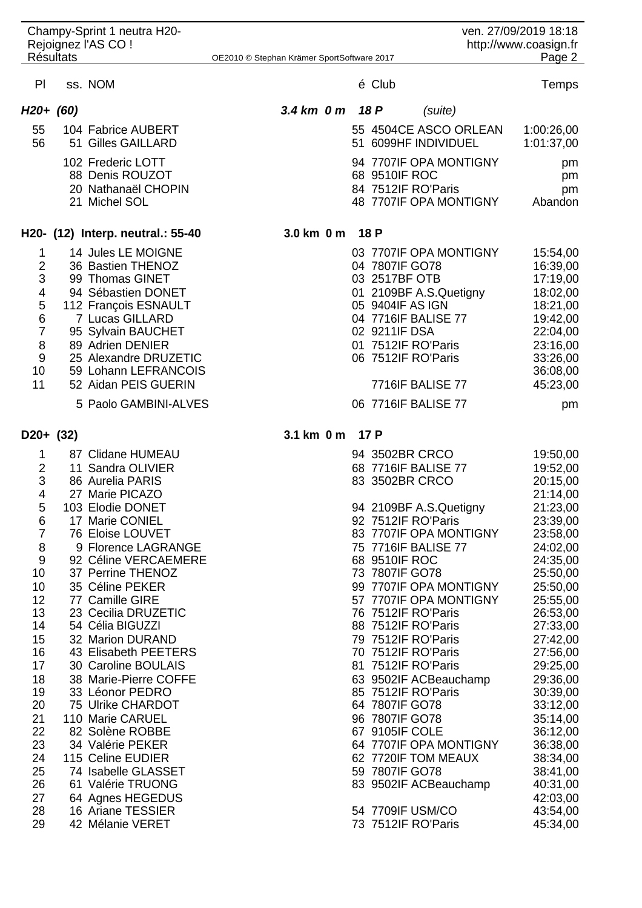| <b>Résultats</b>                                                                                                                             | Champy-Sprint 1 neutra H20-<br>Rejoignez l'AS CO !                                                                                                                                                                                                                                                                                                                                                                                                  | OE2010 © Stephan Krämer SportSoftware 2017 |  |                                                                                       |                                                                                                                                                                                                                                                                                                                                                         | ven. 27/09/2019 18:18<br>http://www.coasign.fr | Page 2                                                                                                                                                                                                                                                   |
|----------------------------------------------------------------------------------------------------------------------------------------------|-----------------------------------------------------------------------------------------------------------------------------------------------------------------------------------------------------------------------------------------------------------------------------------------------------------------------------------------------------------------------------------------------------------------------------------------------------|--------------------------------------------|--|---------------------------------------------------------------------------------------|---------------------------------------------------------------------------------------------------------------------------------------------------------------------------------------------------------------------------------------------------------------------------------------------------------------------------------------------------------|------------------------------------------------|----------------------------------------------------------------------------------------------------------------------------------------------------------------------------------------------------------------------------------------------------------|
| PI                                                                                                                                           | ss. NOM                                                                                                                                                                                                                                                                                                                                                                                                                                             |                                            |  | é Club                                                                                |                                                                                                                                                                                                                                                                                                                                                         |                                                | Temps                                                                                                                                                                                                                                                    |
| $H20+ (60)$                                                                                                                                  |                                                                                                                                                                                                                                                                                                                                                                                                                                                     | $3.4 \text{ km}$ 0 m                       |  | 18 P                                                                                  | (suite)                                                                                                                                                                                                                                                                                                                                                 |                                                |                                                                                                                                                                                                                                                          |
| 55<br>56                                                                                                                                     | 104 Fabrice AUBERT<br>51 Gilles GAILLARD                                                                                                                                                                                                                                                                                                                                                                                                            |                                            |  |                                                                                       | 55 4504CE ASCO ORLEAN<br>51 6099HF INDIVIDUEL                                                                                                                                                                                                                                                                                                           |                                                | 1:00:26,00<br>1:01:37,00                                                                                                                                                                                                                                 |
|                                                                                                                                              | 102 Frederic LOTT<br>88 Denis ROUZOT<br>20 Nathanaël CHOPIN<br>21 Michel SOL                                                                                                                                                                                                                                                                                                                                                                        |                                            |  | 68 9510IF ROC                                                                         | 94 7707IF OPA MONTIGNY<br>84 7512IF RO'Paris<br>48 7707IF OPA MONTIGNY                                                                                                                                                                                                                                                                                  |                                                | pm<br>pm<br>pm<br>Abandon                                                                                                                                                                                                                                |
|                                                                                                                                              | H20- (12) Interp. neutral.: 55-40                                                                                                                                                                                                                                                                                                                                                                                                                   | 3.0 km 0 m                                 |  | 18 P                                                                                  |                                                                                                                                                                                                                                                                                                                                                         |                                                |                                                                                                                                                                                                                                                          |
| 1<br>2<br>3<br>4<br>5<br>6<br>7<br>8<br>9<br>10<br>11                                                                                        | 14 Jules LE MOIGNE<br>36 Bastien THENOZ<br>99 Thomas GINET<br>94 Sébastien DONET<br>112 François ESNAULT<br>7 Lucas GILLARD<br>95 Sylvain BAUCHET<br>89 Adrien DENIER<br>25 Alexandre DRUZETIC<br>59 Lohann LEFRANCOIS<br>52 Aidan PEIS GUERIN                                                                                                                                                                                                      |                                            |  | 04 7807IF GO78<br>03 2517BF OTB<br>05 9404IF AS IGN<br>02 9211IF DSA                  | 03 7707IF OPA MONTIGNY<br>01 2109BF A.S.Quetigny<br>04 7716IF BALISE 77<br>01 7512IF RO'Paris<br>06 7512IF RO'Paris<br><b>7716IF BALISE 77</b>                                                                                                                                                                                                          |                                                | 15:54,00<br>16:39,00<br>17:19,00<br>18:02,00<br>18:21,00<br>19:42,00<br>22:04,00<br>23:16,00<br>33:26,00<br>36:08,00<br>45:23,00                                                                                                                         |
|                                                                                                                                              | 5 Paolo GAMBINI-ALVES                                                                                                                                                                                                                                                                                                                                                                                                                               |                                            |  |                                                                                       | 06 7716IF BALISE 77                                                                                                                                                                                                                                                                                                                                     |                                                | pm                                                                                                                                                                                                                                                       |
| $D20+ (32)$<br>1                                                                                                                             | 87 Clidane HUMEAU                                                                                                                                                                                                                                                                                                                                                                                                                                   | 3.1 km 0 m                                 |  | 17 P                                                                                  | 94 3502BR CRCO                                                                                                                                                                                                                                                                                                                                          |                                                | 19:50,00                                                                                                                                                                                                                                                 |
| $\overline{2}$<br>3<br>4<br>5<br>6<br>$\overline{7}$<br>8<br>9<br>10<br>10<br>12<br>13<br>14<br>15<br>16<br>17<br>18<br>19<br>20<br>21<br>22 | 11 Sandra OLIVIER<br>86 Aurelia PARIS<br>27 Marie PICAZO<br>103 Elodie DONET<br>17 Marie CONIEL<br>76 Eloise LOUVET<br>9 Florence LAGRANGE<br>92 Céline VERCAEMERE<br>37 Perrine THENOZ<br>35 Céline PEKER<br>77 Camille GIRE<br>23 Cecilia DRUZETIC<br>54 Célia BIGUZZI<br>32 Marion DURAND<br>43 Elisabeth PEETERS<br>30 Caroline BOULAIS<br>38 Marie-Pierre COFFE<br>33 Léonor PEDRO<br>75 Ulrike CHARDOT<br>110 Marie CARUEL<br>82 Solène ROBBE |                                            |  | 68 9510IF ROC<br>73 7807IF GO78<br>64 7807IF GO78<br>96 7807IF GO78<br>67 9105IF COLE | 68 7716IF BALISE 77<br>83 3502BR CRCO<br>94 2109BF A.S.Quetigny<br>92 7512IF RO'Paris<br>83 7707IF OPA MONTIGNY<br>75 7716IF BALISE 77<br>99 7707IF OPA MONTIGNY<br>57 7707IF OPA MONTIGNY<br>76 7512IF RO'Paris<br>88 7512IF RO'Paris<br>79 7512IF RO'Paris<br>70 7512IF RO'Paris<br>81 7512IF RO'Paris<br>63 9502IF ACBeauchamp<br>85 7512IF RO'Paris |                                                | 19:52,00<br>20:15,00<br>21:14,00<br>21:23,00<br>23:39,00<br>23:58,00<br>24:02,00<br>24:35,00<br>25:50,00<br>25:50,00<br>25:55,00<br>26:53,00<br>27:33,00<br>27:42,00<br>27:56,00<br>29:25,00<br>29:36,00<br>30:39,00<br>33:12,00<br>35:14,00<br>36:12,00 |
| 23<br>24<br>25<br>26<br>27<br>28<br>29                                                                                                       | 34 Valérie PEKER<br>115 Celine EUDIER<br>74 Isabelle GLASSET<br>61 Valérie TRUONG<br>64 Agnes HEGEDUS<br>16 Ariane TESSIER<br>42 Mélanie VERET                                                                                                                                                                                                                                                                                                      |                                            |  | 59 7807IF GO78                                                                        | 64 7707IF OPA MONTIGNY<br>62 7720IF TOM MEAUX<br>83 9502IF ACBeauchamp<br>54 7709IF USM/CO<br>73 7512IF RO'Paris                                                                                                                                                                                                                                        |                                                | 36:38,00<br>38:34,00<br>38:41,00<br>40:31,00<br>42:03,00<br>43:54,00<br>45:34,00                                                                                                                                                                         |